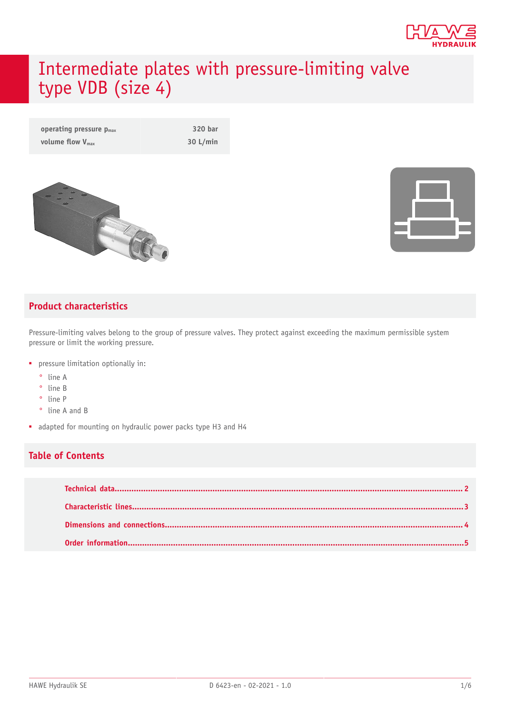

# Intermediate plates with pressure-limiting valve type VDB (size 4)

| operating pressure $p_{max}$ | 320 bar  |
|------------------------------|----------|
| volume flow $V_{\text{max}}$ | 30 L/min |



#### **Product characteristics**

Pressure-limiting valves belong to the group of pressure valves. They protect against exceeding the maximum permissible system pressure or limit the working pressure.

- pressure limitation optionally in:
	- ° line A
	- ° line B
	- ° line P
	- ° line A and B
- adapted for mounting on hydraulic power packs type H3 and H4

#### **Table of Contents**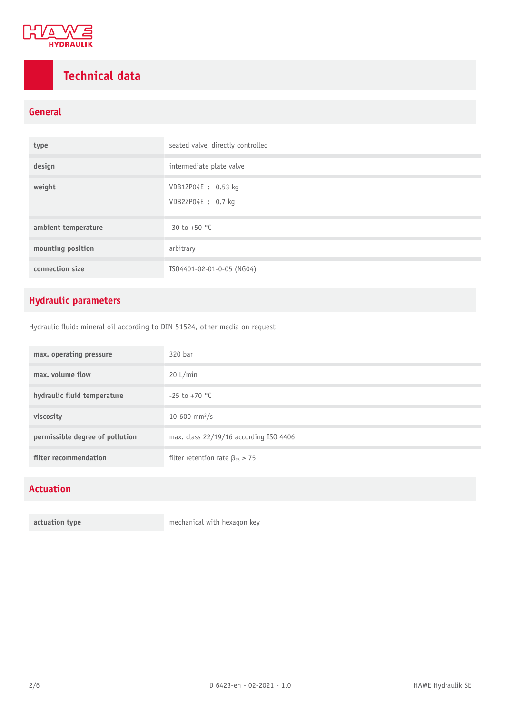

## <span id="page-1-0"></span>**Technical data**

#### **General**

| type                | seated valve, directly controlled        |  |  |  |  |  |
|---------------------|------------------------------------------|--|--|--|--|--|
| design              | intermediate plate valve                 |  |  |  |  |  |
| weight              | VDB1ZP04E: 0.53 kg<br>VDB2ZP04E_: 0.7 kg |  |  |  |  |  |
| ambient temperature | $-30$ to $+50$ °C                        |  |  |  |  |  |
| mounting position   | arbitrary                                |  |  |  |  |  |
| connection size     | IS04401-02-01-0-05 (NG04)                |  |  |  |  |  |

### **Hydraulic parameters**

Hydraulic fluid: mineral oil according to DIN 51524, other media on request

| max. operating pressure         | 320 bar                                 |
|---------------------------------|-----------------------------------------|
| max. volume flow                | 20 L/min                                |
| hydraulic fluid temperature     | $-25$ to $+70$ °C                       |
| viscosity                       | 10-600 mm <sup>2</sup> /s               |
| permissible degree of pollution | max. class 22/19/16 according ISO 4406  |
| filter recommendation           | filter retention rate $\beta_{25} > 75$ |

#### **Actuation**

**actuation type** mechanical with hexagon key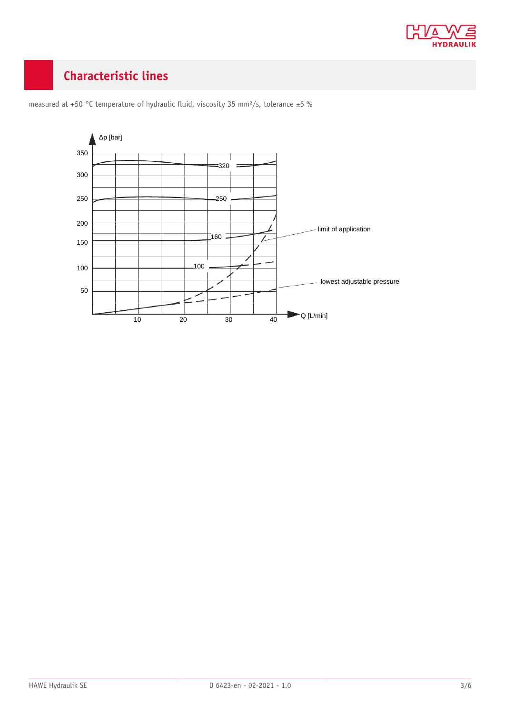

### <span id="page-2-0"></span>**Characteristic lines**



measured at +50 °C temperature of hydraulic fluid, viscosity 35 mm<sup>2</sup>/s, tolerance ±5 %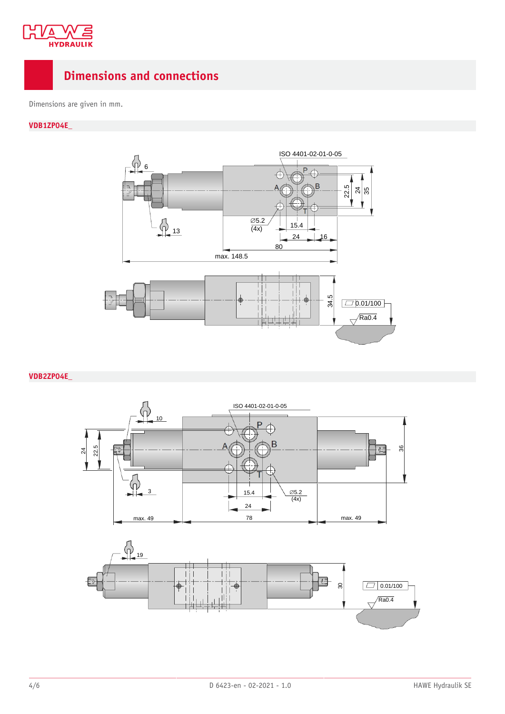

### <span id="page-3-0"></span>**Dimensions and connections**

Dimensions are given in mm.

#### **VDB1ZP04E\_**



#### **VDB2ZP04E\_**

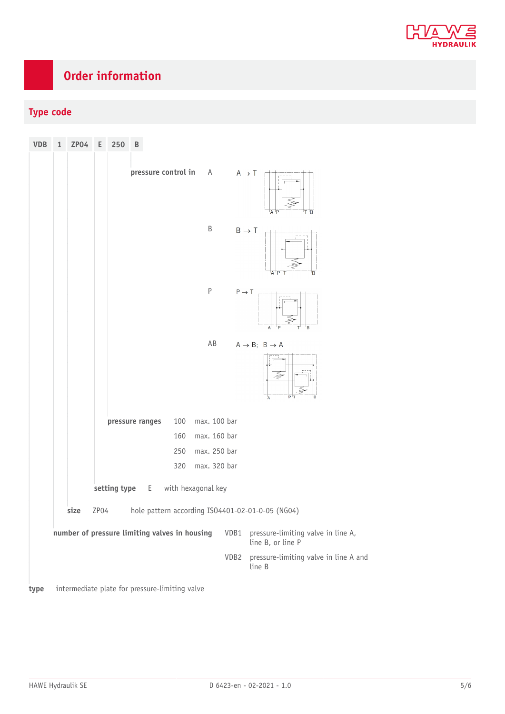

## <span id="page-4-0"></span>**Order information**

### **Type code**

| <b>VDB</b> | $\mathbf{1}$ | ZPO4                                           | Е    | 250             | B |                     |              |                           |                                                         |
|------------|--------------|------------------------------------------------|------|-----------------|---|---------------------|--------------|---------------------------|---------------------------------------------------------|
|            |              |                                                |      |                 |   | pressure control in | A            | $A \rightarrow T$         | T 'B<br>'A 'P                                           |
|            |              |                                                |      |                 |   |                     | B            |                           | $B \rightarrow T$<br>B<br>'A 'P                         |
|            |              |                                                |      |                 |   |                     | $\mathsf P$  | $\mathsf{P}\to\mathsf{T}$ | B<br>A                                                  |
|            |              |                                                |      |                 |   |                     | AB           |                           | $A \rightarrow B$ ; $B \rightarrow A$<br>B<br>Α         |
|            |              |                                                |      | pressure ranges |   | 100                 | max. 100 bar |                           |                                                         |
|            |              |                                                |      |                 |   | 160                 | max. 160 bar |                           |                                                         |
|            |              |                                                |      |                 |   | 250                 | max. 250 bar |                           |                                                         |
|            |              |                                                |      |                 |   | 320                 | max. 320 bar |                           |                                                         |
|            |              |                                                |      | setting type E  |   | with hexagonal key  |              |                           |                                                         |
|            |              | size                                           | ZP04 |                 |   |                     |              |                           | hole pattern according ISO4401-02-01-0-05 (NG04)        |
|            |              | number of pressure limiting valves in housing  |      |                 |   |                     |              | VDB1                      | pressure-limiting valve in line A,<br>line B, or line P |
|            |              |                                                |      |                 |   |                     |              | VDB2                      | pressure-limiting valve in line A and<br>line B         |
| type       |              | intermediate plate for pressure-limiting valve |      |                 |   |                     |              |                           |                                                         |